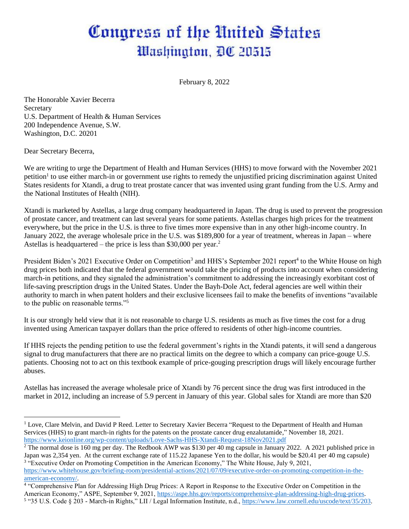## Congress of the United States Washington, DC 20515

February 8, 2022

The Honorable Xavier Becerra **Secretary** U.S. Department of Health & Human Services 200 Independence Avenue, S.W. Washington, D.C. 20201

Dear Secretary Becerra,

We are writing to urge the Department of Health and Human Services (HHS) to move forward with the November 2021 petition<sup>1</sup> to use either march-in or government use rights to remedy the unjustified pricing discrimination against United States residents for Xtandi, a drug to treat prostate cancer that was invented using grant funding from the U.S. Army and the National Institutes of Health (NIH).

Xtandi is marketed by Astellas, a large drug company headquartered in Japan. The drug is used to prevent the progression of prostate cancer, and treatment can last several years for some patients. Astellas charges high prices for the treatment everywhere, but the price in the U.S. is three to five times more expensive than in any other high-income country. In January 2022, the average wholesale price in the U.S. was \$189,800 for a year of treatment, whereas in Japan – where Astellas is headquartered – the price is less than \$30,000 per year.<sup>2</sup>

President Biden's 2021 Executive Order on Competition<sup>3</sup> and HHS's September 2021 report<sup>4</sup> to the White House on high drug prices both indicated that the federal government would take the pricing of products into account when considering march-in petitions, and they signaled the administration's commitment to addressing the increasingly exorbitant cost of life-saving prescription drugs in the United States. Under the Bayh-Dole Act, federal agencies are well within their authority to march in when patent holders and their exclusive licensees fail to make the benefits of inventions "available to the public on reasonable terms."<sup>5</sup>

It is our strongly held view that it is not reasonable to charge U.S. residents as much as five times the cost for a drug invented using American taxpayer dollars than the price offered to residents of other high-income countries.

If HHS rejects the pending petition to use the federal government's rights in the Xtandi patents, it will send a dangerous signal to drug manufacturers that there are no practical limits on the degree to which a company can price-gouge U.S. patients. Choosing not to act on this textbook example of price-gouging prescription drugs will likely encourage further abuses.

Astellas has increased the average wholesale price of Xtandi by 76 percent since the drug was first introduced in the market in 2012, including an increase of 5.9 percent in January of this year. Global sales for Xtandi are more than \$20

<sup>&</sup>lt;sup>1</sup> Love, Clare Melvin, and David P Reed. Letter to Secretary Xavier Becerra "Request to the Department of Health and Human Services (HHS) to grant march-in rights for the patents on the prostate cancer drug enzalutamide," November 18, 2021. <https://www.keionline.org/wp-content/uploads/Love-Sachs-HHS-Xtandi-Request-18Nov2021.pdf>

<sup>&</sup>lt;sup>2</sup> The normal dose is 160 mg per day. The Redbook AWP was \$130 per 40 mg capsule in January 2022. A 2021 published price in Japan was 2,354 yen. At the current exchange rate of 115.22 Japanese Yen to the dollar, his would be \$20.41 per 40 mg capsule) 3 "Executive Order on Promoting Competition in the American Economy," The White House, July 9, 2021,

[https://www.whitehouse.gov/briefing-room/presidential-actions/2021/07/09/executive-order-on-promoting-competition-in-the](https://www.whitehouse.gov/briefing-room/presidential-actions/2021/07/09/executive-order-on-promoting-competition-in-the-american-economy/)[american-economy/.](https://www.whitehouse.gov/briefing-room/presidential-actions/2021/07/09/executive-order-on-promoting-competition-in-the-american-economy/)

<sup>&</sup>lt;sup>4</sup> "Comprehensive Plan for Addressing High Drug Prices: A Report in Response to the Executive Order on Competition in the American Economy," ASPE, September 9, 2021, [https://aspe.hhs.gov/reports/comprehensive-plan-addressing-high-drug-prices.](https://aspe.hhs.gov/reports/comprehensive-plan-addressing-high-drug-prices) <sup>5</sup> "35 U.S. Code § 203 - March-in Rights," LII / Legal Information Institute, n.d., [https://www.law.cornell.edu/uscode/text/35/203.](https://www.law.cornell.edu/uscode/text/35/203)